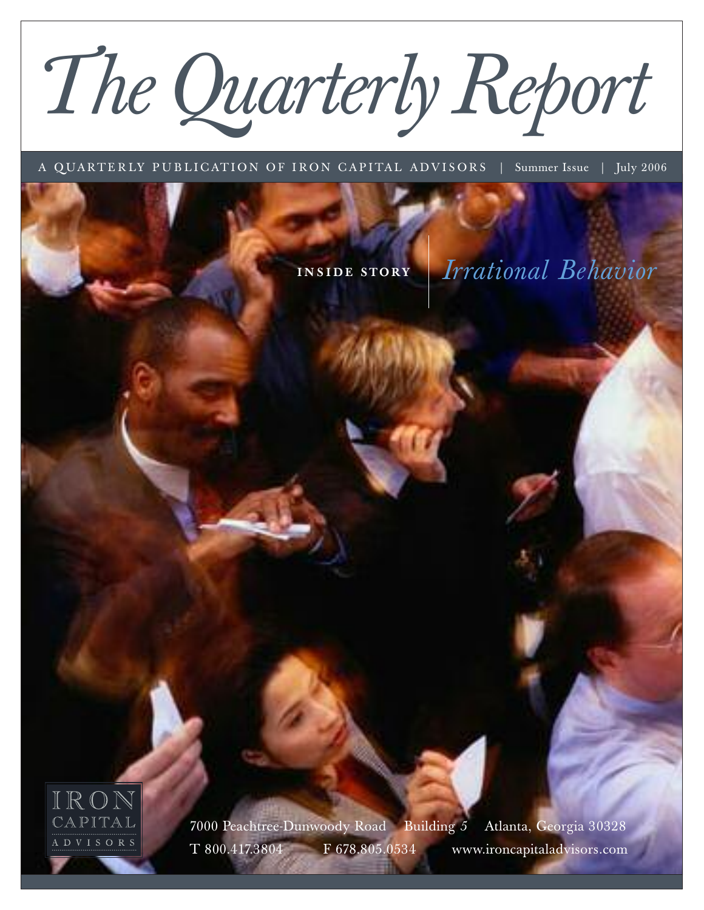# *The Quarterly Report*

A QUARTERLY PUBLICATION OF IRON CAPITAL ADVISORS | Summer Issue | July 2006

**I N S I DE STORY** *Irrational Behavior*



7000 Peachtree-Dunwoody Road Building *5* Atlanta, Georgia 30328 T 800.417.3804 F 678.805.0534 www.ironcapitaladvisors.com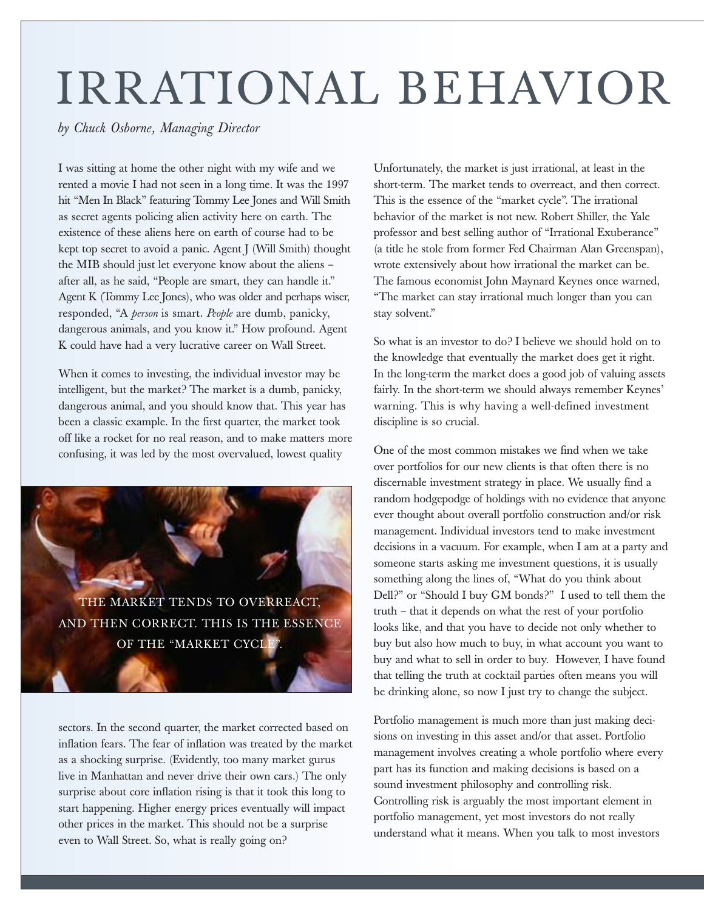## IRRATIONAL BEHAVIOR

#### *by Chuck Osborne, Managing Director*

I was sitting at home the other night with my wife and we rented a movie I had not seen in a long time. It was the 1997 hit "Men In Black" featuring Tommy Lee Jones and Will Smith as secret agents policing alien activity here on earth. The existence of these aliens here on earth of course had to be kept top secret to avoid a panic. Agent J (Will Smith) thought the MIB should just let everyone know about the aliens – after all, as he said, "People are smart, they can handle it." Agent K (Tommy Lee Jones), who was older and perhaps wiser, responded, "A *person* is smart. *People* are dumb, panicky, dangerous animals, and you know it." How profound. Agent K could have had a very lucrative career on Wall Street.

When it comes to investing, the individual investor may be intelligent, but the market? The market is a dumb, panicky, dangerous animal, and you should know that. This year has been a classic example. In the first quarter, the market took off like a rocket for no real reason, and to make matters more confusing, it was led by the most overvalued, lowest quality



sectors. In the second quarter, the market corrected based on inflation fears. The fear of inflation was treated by the market as a shocking surprise. (Evidently, too many market gurus live in Manhattan and never drive their own cars.) The only surprise about core inflation rising is that it took this long to start happening. Higher energy prices eventually will impact other prices in the market. This should not be a surprise even to Wall Street. So, what is really going on?

Unfortunately, the market is just irrational, at least in the short-term. The market tends to overreact, and then correct. This is the essence of the "market cycle". The irrational behavior of the market is not new. Robert Shiller, the Yale professor and best selling author of "Irrational Exuberance" (a title he stole from former Fed Chairman Alan Greenspan), wrote extensively about how irrational the market can be. The famous economist John Maynard Keynes once warned, "The market can stay irrational much longer than you can stay solvent."

So what is an investor to do? I believe we should hold on to the knowledge that eventually the market does get it right. In the long-term the market does a good job of valuing assets fairly. In the short-term we should always remember Keynes' warning. This is why having a well-defined investment discipline is so crucial.

One of the most common mistakes we find when we take over portfolios for our new clients is that often there is no discernable investment strategy in place. We usually find a random hodgepodge of holdings with no evidence that anyone ever thought about overall portfolio construction and/or risk management. Individual investors tend to make investment decisions in a vacuum. For example, when I am at a party and someone starts asking me investment questions, it is usually something along the lines of, "What do you think about Dell?" or "Should I buy GM bonds?" I used to tell them the truth – that it depends on what the rest of your portfolio looks like, and that you have to decide not only whether to buy but also how much to buy, in what account you want to buy and what to sell in order to buy. However, I have found that telling the truth at cocktail parties often means you will be drinking alone, so now I just try to change the subject.

Portfolio management is much more than just making decisions on investing in this asset and/or that asset. Portfolio management involves creating a whole portfolio where every part has its function and making decisions is based on a sound investment philosophy and controlling risk. Controlling risk is arguably the most important element in portfolio management, yet most investors do not really understand what it means. When you talk to most investors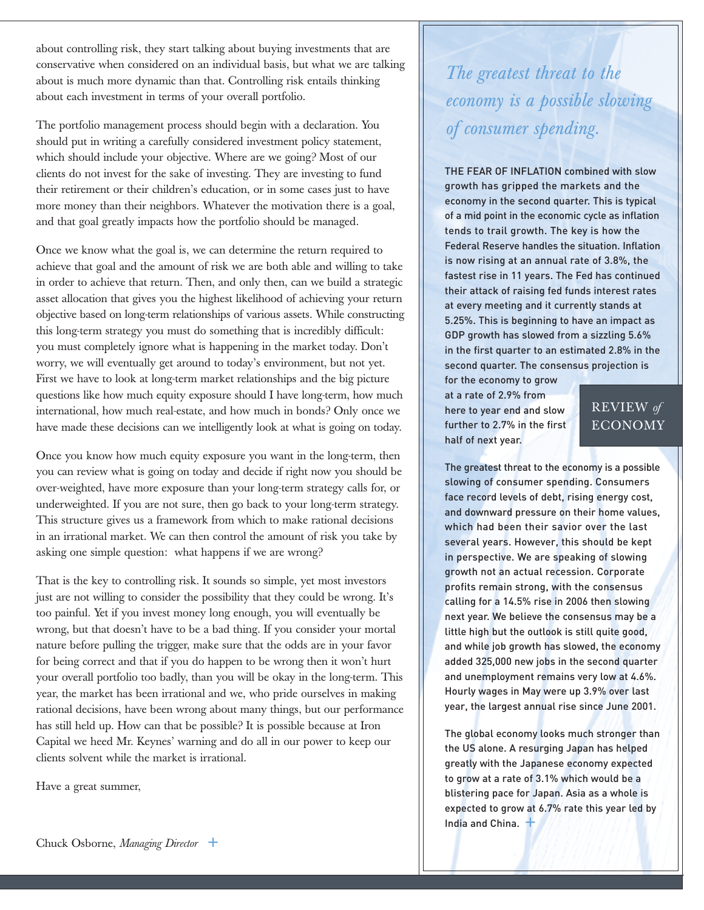about controlling risk, they start talking about buying investments that are conservative when considered on an individual basis, but what we are talking about is much more dynamic than that. Controlling risk entails thinking about each investment in terms of your overall portfolio.

The portfolio management process should begin with a declaration. You should put in writing a carefully considered investment policy statement, which should include your objective. Where are we going? Most of our clients do not invest for the sake of investing. They are investing to fund their retirement or their children's education, or in some cases just to have more money than their neighbors. Whatever the motivation there is a goal, and that goal greatly impacts how the portfolio should be managed.

Once we know what the goal is, we can determine the return required to achieve that goal and the amount of risk we are both able and willing to take in order to achieve that return. Then, and only then, can we build a strategic asset allocation that gives you the highest likelihood of achieving your return objective based on long-term relationships of various assets. While constructing this long-term strategy you must do something that is incredibly difficult: you must completely ignore what is happening in the market today. Don't worry, we will eventually get around to today's environment, but not yet. First we have to look at long-term market relationships and the big picture questions like how much equity exposure should I have long-term, how much international, how much real-estate, and how much in bonds? Only once we have made these decisions can we intelligently look at what is going on today.

Once you know how much equity exposure you want in the long-term, then you can review what is going on today and decide if right now you should be over-weighted, have more exposure than your long-term strategy calls for, or underweighted. If you are not sure, then go back to your long-term strategy. This structure gives us a framework from which to make rational decisions in an irrational market. We can then control the amount of risk you take by asking one simple question: what happens if we are wrong?

That is the key to controlling risk. It sounds so simple, yet most investors just are not willing to consider the possibility that they could be wrong. It's too painful. Yet if you invest money long enough, you will eventually be wrong, but that doesn't have to be a bad thing. If you consider your mortal nature before pulling the trigger, make sure that the odds are in your favor for being correct and that if you do happen to be wrong then it won't hurt your overall portfolio too badly, than you will be okay in the long-term. This year, the market has been irrational and we, who pride ourselves in making rational decisions, have been wrong about many things, but our performance has still held up. How can that be possible? It is possible because at Iron Capital we heed Mr. Keynes' warning and do all in our power to keep our clients solvent while the market is irrational.

Have a great summer,

*The greatest threat to the economy is a possible slowing of consumer spending.*

THE FEAR OF INFLATION combined with slow growth has gripped the markets and the economy in the second quarter. This is typical of a mid point in the economic cycle as inflation tends to trail growth. The key is how the Federal Reserve handles the situation. Inflation is now rising at an annual rate of 3.8%, the fastest rise in 11 years. The Fed has continued their attack of raising fed funds interest rates at every meeting and it currently stands at 5.25%. This is beginning to have an impact as GDP growth has slowed from a sizzling 5.6% in the first quarter to an estimated 2.8% in the second quarter. The consensus projection is

for the economy to grow at a rate of 2.9% from here to year end and slow further to 2.7% in the first half of next year.

#### REVIEW *of* ECONOMY

The greatest threat to the economy is a possible slowing of consumer spending. Consumers face record levels of debt, rising energy cost, and downward pressure on their home values, which had been their savior over the last several years. However, this should be kept in perspective. We are speaking of slowing growth not an actual recession. Corporate profits remain strong, with the consensus calling for a 14.5% rise in 2006 then slowing next year. We believe the consensus may be a little high but the outlook is still quite good, and while job growth has slowed, the economy added 325,000 new jobs in the second quarter and unemployment remains very low at 4.6%. Hourly wages in May were up 3.9% over last year, the largest annual rise since June 2001.

The global economy looks much stronger than the US alone. A resurging Japan has helped greatly with the Japanese economy expected to grow at a rate of 3.1% which would be a blistering pace for Japan. Asia as a whole is expected to grow at 6.7% rate this year led by India and China. **+**